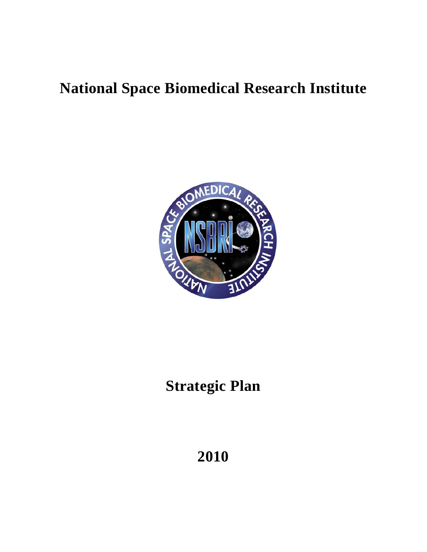# **National Space Biomedical Research Institute**



# **Strategic Plan**

**2010**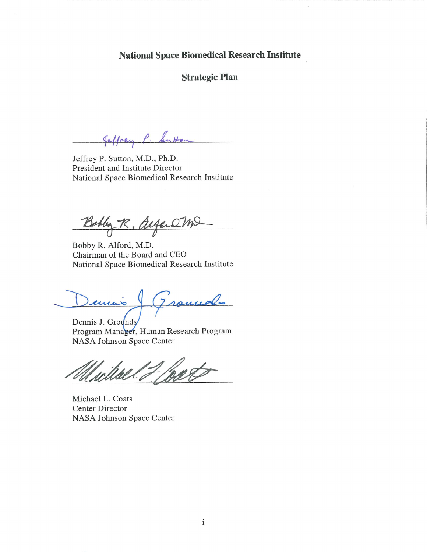**National Space Biomedical Research Institute** 

**Strategic Plan** 

Jeffrey P. Sutton

Jeffrey P. Sutton, M.D., Ph.D. President and Institute Director National Space Biomedical Research Institute

Bobley R. augus ms

Bobby R. Alford, M.D. Chairman of the Board and CEO National Space Biomedical Research Institute

Zround emais

Dennis J. Grounds Program Manager, Human Research Program NASA Johnson Space Center

Michael L. Coats Center Director NASA Johnson Space Center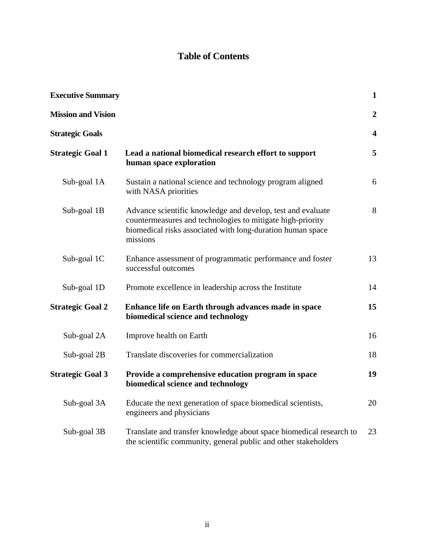## **Table of Contents**

| <b>Executive Summary</b>  |                                                                                                                                                                                                     | $\mathbf{1}$     |
|---------------------------|-----------------------------------------------------------------------------------------------------------------------------------------------------------------------------------------------------|------------------|
| <b>Mission and Vision</b> |                                                                                                                                                                                                     | $\boldsymbol{2}$ |
| <b>Strategic Goals</b>    |                                                                                                                                                                                                     | 4                |
| <b>Strategic Goal 1</b>   | Lead a national biomedical research effort to support<br>human space exploration                                                                                                                    | 5                |
| Sub-goal 1A               | Sustain a national science and technology program aligned<br>with NASA priorities                                                                                                                   | 6                |
| Sub-goal 1B               | Advance scientific knowledge and develop, test and evaluate<br>countermeasures and technologies to mitigate high-priority<br>biomedical risks associated with long-duration human space<br>missions | 8                |
| Sub-goal 1C               | Enhance assessment of programmatic performance and foster<br>successful outcomes                                                                                                                    | 13               |
| Sub-goal 1D               | Promote excellence in leadership across the Institute                                                                                                                                               | 14               |
| <b>Strategic Goal 2</b>   | Enhance life on Earth through advances made in space<br>biomedical science and technology                                                                                                           | 15               |
| Sub-goal 2A               | Improve health on Earth                                                                                                                                                                             | 16               |
| Sub-goal 2B               | Translate discoveries for commercialization                                                                                                                                                         | 18               |
| <b>Strategic Goal 3</b>   | Provide a comprehensive education program in space<br>biomedical science and technology                                                                                                             | 19               |
| Sub-goal 3A               | Educate the next generation of space biomedical scientists,<br>engineers and physicians                                                                                                             | 20               |
| Sub-goal 3B               | Translate and transfer knowledge about space biomedical research to<br>the scientific community, general public and other stakeholders                                                              | 23               |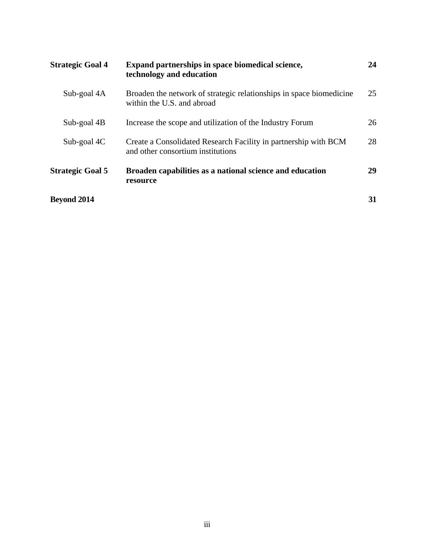| <b>Strategic Goal 4</b> | Expand partnerships in space biomedical science,<br>technology and education                         | 24 |
|-------------------------|------------------------------------------------------------------------------------------------------|----|
| Sub-goal 4A             | Broaden the network of strategic relationships in space biomedicine<br>within the U.S. and abroad    | 25 |
| Sub-goal 4B             | Increase the scope and utilization of the Industry Forum                                             | 26 |
| Sub-goal 4C             | Create a Consolidated Research Facility in partnership with BCM<br>and other consortium institutions | 28 |
| <b>Strategic Goal 5</b> | Broaden capabilities as a national science and education<br>resource                                 | 29 |
| <b>Beyond 2014</b>      |                                                                                                      | 31 |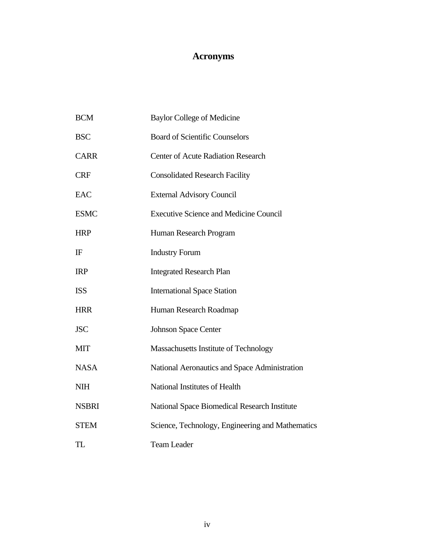## **Acronyms**

| <b>BCM</b>   | <b>Baylor College of Medicine</b>                |
|--------------|--------------------------------------------------|
| <b>BSC</b>   | <b>Board of Scientific Counselors</b>            |
| <b>CARR</b>  | <b>Center of Acute Radiation Research</b>        |
| <b>CRF</b>   | <b>Consolidated Research Facility</b>            |
| <b>EAC</b>   | <b>External Advisory Council</b>                 |
| <b>ESMC</b>  | <b>Executive Science and Medicine Council</b>    |
| <b>HRP</b>   | Human Research Program                           |
| IF           | <b>Industry Forum</b>                            |
| <b>IRP</b>   | <b>Integrated Research Plan</b>                  |
| <b>ISS</b>   | <b>International Space Station</b>               |
| <b>HRR</b>   | Human Research Roadmap                           |
| <b>JSC</b>   | <b>Johnson Space Center</b>                      |
| <b>MIT</b>   | Massachusetts Institute of Technology            |
| <b>NASA</b>  | National Aeronautics and Space Administration    |
| <b>NIH</b>   | National Institutes of Health                    |
| <b>NSBRI</b> | National Space Biomedical Research Institute     |
| <b>STEM</b>  | Science, Technology, Engineering and Mathematics |
| TL           | <b>Team Leader</b>                               |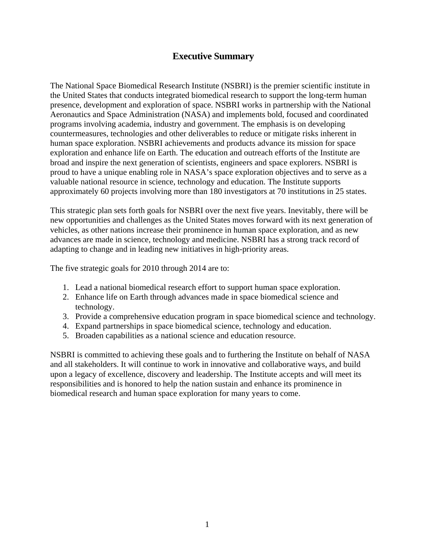## **Executive Summary**

The National Space Biomedical Research Institute (NSBRI) is the premier scientific institute in the United States that conducts integrated biomedical research to support the long-term human presence, development and exploration of space. NSBRI works in partnership with the National Aeronautics and Space Administration (NASA) and implements bold, focused and coordinated programs involving academia, industry and government. The emphasis is on developing countermeasures, technologies and other deliverables to reduce or mitigate risks inherent in human space exploration. NSBRI achievements and products advance its mission for space exploration and enhance life on Earth. The education and outreach efforts of the Institute are broad and inspire the next generation of scientists, engineers and space explorers. NSBRI is proud to have a unique enabling role in NASA's space exploration objectives and to serve as a valuable national resource in science, technology and education. The Institute supports approximately 60 projects involving more than 180 investigators at 70 institutions in 25 states.

This strategic plan sets forth goals for NSBRI over the next five years. Inevitably, there will be new opportunities and challenges as the United States moves forward with its next generation of vehicles, as other nations increase their prominence in human space exploration, and as new advances are made in science, technology and medicine. NSBRI has a strong track record of adapting to change and in leading new initiatives in high-priority areas.

The five strategic goals for 2010 through 2014 are to:

- 1. Lead a national biomedical research effort to support human space exploration.
- 2. Enhance life on Earth through advances made in space biomedical science and technology.
- 3. Provide a comprehensive education program in space biomedical science and technology.
- 4. Expand partnerships in space biomedical science, technology and education.
- 5. Broaden capabilities as a national science and education resource.

NSBRI is committed to achieving these goals and to furthering the Institute on behalf of NASA and all stakeholders. It will continue to work in innovative and collaborative ways, and build upon a legacy of excellence, discovery and leadership. The Institute accepts and will meet its responsibilities and is honored to help the nation sustain and enhance its prominence in biomedical research and human space exploration for many years to come.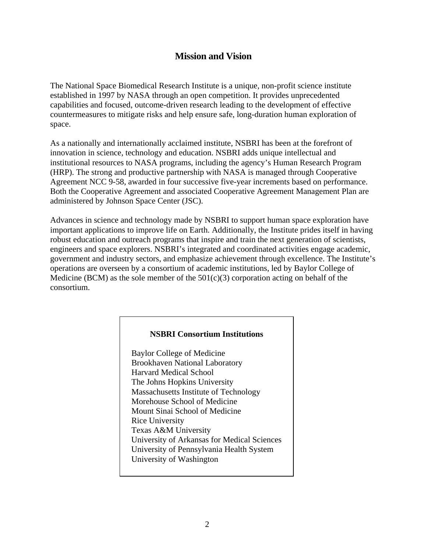#### **Mission and Vision**

The National Space Biomedical Research Institute is a unique, non-profit science institute established in 1997 by NASA through an open competition. It provides unprecedented capabilities and focused, outcome-driven research leading to the development of effective countermeasures to mitigate risks and help ensure safe, long-duration human exploration of space.

As a nationally and internationally acclaimed institute, NSBRI has been at the forefront of innovation in science, technology and education. NSBRI adds unique intellectual and institutional resources to NASA programs, including the agency's Human Research Program (HRP). The strong and productive partnership with NASA is managed through Cooperative Agreement NCC 9-58, awarded in four successive five-year increments based on performance. Both the Cooperative Agreement and associated Cooperative Agreement Management Plan are administered by Johnson Space Center (JSC).

Advances in science and technology made by NSBRI to support human space exploration have important applications to improve life on Earth. Additionally, the Institute prides itself in having robust education and outreach programs that inspire and train the next generation of scientists, engineers and space explorers. NSBRI's integrated and coordinated activities engage academic, government and industry sectors, and emphasize achievement through excellence. The Institute's operations are overseen by a consortium of academic institutions, led by Baylor College of Medicine (BCM) as the sole member of the  $501(c)(3)$  corporation acting on behalf of the consortium.

#### **NSBRI Consortium Institutions**

 Baylor College of Medicine Brookhaven National Laboratory Harvard Medical School The Johns Hopkins University Massachusetts Institute of Technology Morehouse School of Medicine Mount Sinai School of Medicine Rice University Texas A&M University University of Arkansas for Medical Sciences University of Pennsylvania Health System University of Washington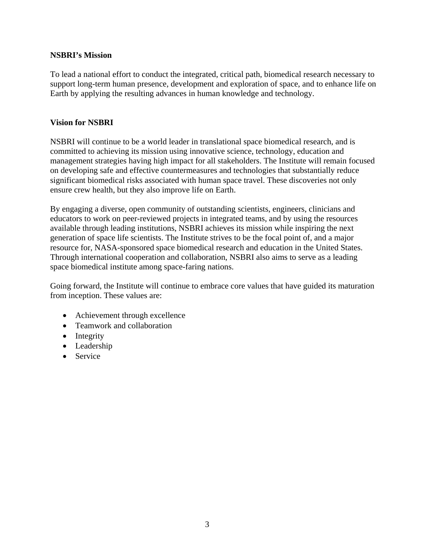#### **NSBRI's Mission**

To lead a national effort to conduct the integrated, critical path, biomedical research necessary to support long-term human presence, development and exploration of space, and to enhance life on Earth by applying the resulting advances in human knowledge and technology.

#### **Vision for NSBRI**

NSBRI will continue to be a world leader in translational space biomedical research, and is committed to achieving its mission using innovative science, technology, education and management strategies having high impact for all stakeholders. The Institute will remain focused on developing safe and effective countermeasures and technologies that substantially reduce significant biomedical risks associated with human space travel. These discoveries not only ensure crew health, but they also improve life on Earth.

By engaging a diverse, open community of outstanding scientists, engineers, clinicians and educators to work on peer-reviewed projects in integrated teams, and by using the resources available through leading institutions, NSBRI achieves its mission while inspiring the next generation of space life scientists. The Institute strives to be the focal point of, and a major resource for, NASA-sponsored space biomedical research and education in the United States. Through international cooperation and collaboration, NSBRI also aims to serve as a leading space biomedical institute among space-faring nations.

Going forward, the Institute will continue to embrace core values that have guided its maturation from inception. These values are:

- Achievement through excellence
- Teamwork and collaboration
- Integrity
- Leadership
- Service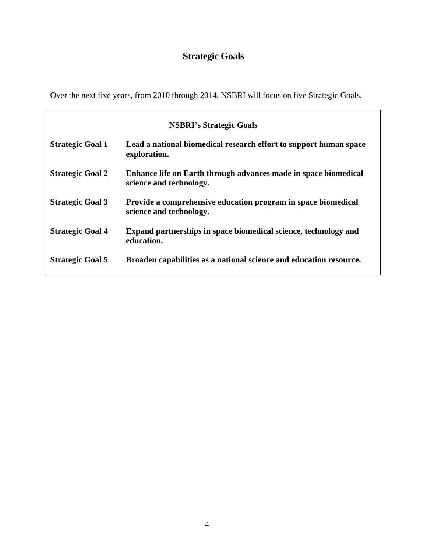## **Strategic Goals**

Over the next five years, from 2010 through 2014, NSBRI will focus on five Strategic Goals.

'n

| <b>NSBRI's Strategic Goals</b> |                                                                                            |  |
|--------------------------------|--------------------------------------------------------------------------------------------|--|
| <b>Strategic Goal 1</b>        | Lead a national biomedical research effort to support human space<br>exploration.          |  |
| <b>Strategic Goal 2</b>        | Enhance life on Earth through advances made in space biomedical<br>science and technology. |  |
| <b>Strategic Goal 3</b>        | Provide a comprehensive education program in space biomedical<br>science and technology.   |  |
| <b>Strategic Goal 4</b>        | Expand partnerships in space biomedical science, technology and<br>education.              |  |
| <b>Strategic Goal 5</b>        | Broaden capabilities as a national science and education resource.                         |  |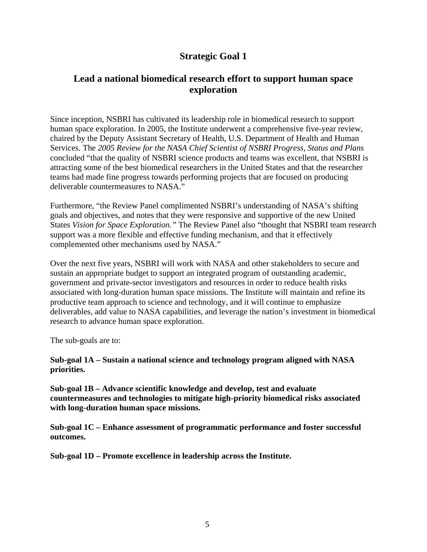## **Strategic Goal 1**

## **Lead a national biomedical research effort to support human space exploration**

Since inception, NSBRI has cultivated its leadership role in biomedical research to support human space exploration. In 2005, the Institute underwent a comprehensive five-year review, chaired by the Deputy Assistant Secretary of Health, U.S. Department of Health and Human Services. The *2005 Review for the NASA Chief Scientist of NSBRI Progress, Status and Plans* concluded "that the quality of NSBRI science products and teams was excellent, that NSBRI is attracting some of the best biomedical researchers in the United States and that the researcher teams had made fine progress towards performing projects that are focused on producing deliverable countermeasures to NASA."

Furthermore, "the Review Panel complimented NSBRI's understanding of NASA's shifting goals and objectives, and notes that they were responsive and supportive of the new United States *Vision for Space Exploration."* The Review Panel also "thought that NSBRI team research support was a more flexible and effective funding mechanism, and that it effectively complemented other mechanisms used by NASA."

Over the next five years, NSBRI will work with NASA and other stakeholders to secure and sustain an appropriate budget to support an integrated program of outstanding academic, government and private-sector investigators and resources in order to reduce health risks associated with long-duration human space missions. The Institute will maintain and refine its productive team approach to science and technology, and it will continue to emphasize deliverables, add value to NASA capabilities, and leverage the nation's investment in biomedical research to advance human space exploration.

The sub-goals are to:

**Sub-goal 1A – Sustain a national science and technology program aligned with NASA priorities.** 

**Sub-goal 1B – Advance scientific knowledge and develop, test and evaluate countermeasures and technologies to mitigate high-priority biomedical risks associated with long-duration human space missions.** 

**Sub-goal 1C – Enhance assessment of programmatic performance and foster successful outcomes.**

**Sub-goal 1D – Promote excellence in leadership across the Institute.**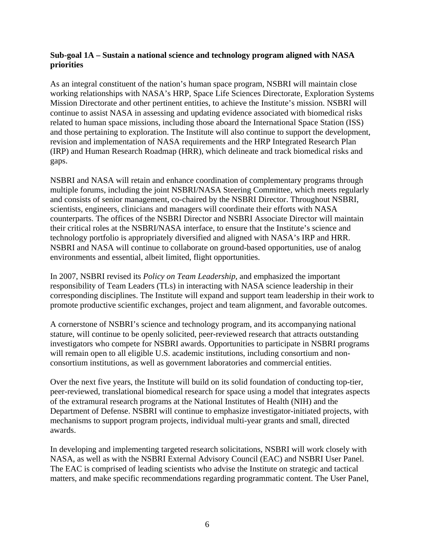#### **Sub-goal 1A – Sustain a national science and technology program aligned with NASA priorities**

As an integral constituent of the nation's human space program, NSBRI will maintain close working relationships with NASA's HRP, Space Life Sciences Directorate, Exploration Systems Mission Directorate and other pertinent entities, to achieve the Institute's mission. NSBRI will continue to assist NASA in assessing and updating evidence associated with biomedical risks related to human space missions, including those aboard the International Space Station (ISS) and those pertaining to exploration. The Institute will also continue to support the development, revision and implementation of NASA requirements and the HRP Integrated Research Plan (IRP) and Human Research Roadmap (HRR), which delineate and track biomedical risks and gaps.

NSBRI and NASA will retain and enhance coordination of complementary programs through multiple forums, including the joint NSBRI/NASA Steering Committee, which meets regularly and consists of senior management, co-chaired by the NSBRI Director. Throughout NSBRI, scientists, engineers, clinicians and managers will coordinate their efforts with NASA counterparts. The offices of the NSBRI Director and NSBRI Associate Director will maintain their critical roles at the NSBRI/NASA interface, to ensure that the Institute's science and technology portfolio is appropriately diversified and aligned with NASA's IRP and HRR. NSBRI and NASA will continue to collaborate on ground-based opportunities, use of analog environments and essential, albeit limited, flight opportunities.

In 2007, NSBRI revised its *Policy on Team Leadership*, and emphasized the important responsibility of Team Leaders (TLs) in interacting with NASA science leadership in their corresponding disciplines. The Institute will expand and support team leadership in their work to promote productive scientific exchanges, project and team alignment, and favorable outcomes.

A cornerstone of NSBRI's science and technology program, and its accompanying national stature, will continue to be openly solicited, peer-reviewed research that attracts outstanding investigators who compete for NSBRI awards. Opportunities to participate in NSBRI programs will remain open to all eligible U.S. academic institutions, including consortium and nonconsortium institutions, as well as government laboratories and commercial entities.

Over the next five years, the Institute will build on its solid foundation of conducting top-tier, peer-reviewed, translational biomedical research for space using a model that integrates aspects of the extramural research programs at the National Institutes of Health (NIH) and the Department of Defense. NSBRI will continue to emphasize investigator-initiated projects, with mechanisms to support program projects, individual multi-year grants and small, directed awards.

In developing and implementing targeted research solicitations, NSBRI will work closely with NASA, as well as with the NSBRI External Advisory Council (EAC) and NSBRI User Panel. The EAC is comprised of leading scientists who advise the Institute on strategic and tactical matters, and make specific recommendations regarding programmatic content. The User Panel,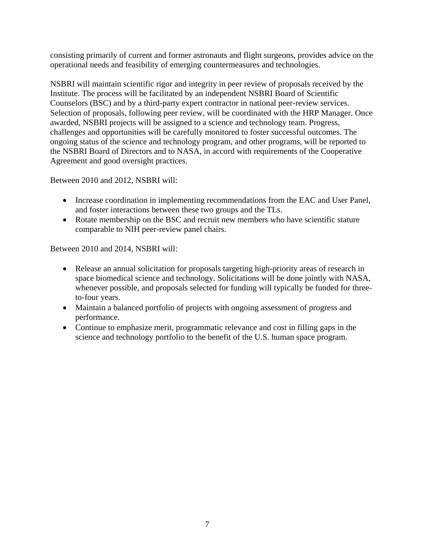consisting primarily of current and former astronauts and flight surgeons, provides advice on the operational needs and feasibility of emerging countermeasures and technologies.

NSBRI will maintain scientific rigor and integrity in peer review of proposals received by the Institute. The process will be facilitated by an independent NSBRI Board of Scientific Counselors (BSC) and by a third-party expert contractor in national peer-review services. Selection of proposals, following peer review, will be coordinated with the HRP Manager. Once awarded, NSBRI projects will be assigned to a science and technology team. Progress, challenges and opportunities will be carefully monitored to foster successful outcomes. The ongoing status of the science and technology program, and other programs, will be reported to the NSBRI Board of Directors and to NASA, in accord with requirements of the Cooperative Agreement and good oversight practices.

Between 2010 and 2012, NSBRI will:

- Increase coordination in implementing recommendations from the EAC and User Panel, and foster interactions between these two groups and the TLs.
- Rotate membership on the BSC and recruit new members who have scientific stature comparable to NIH peer-review panel chairs.

Between 2010 and 2014, NSBRI will:

- Release an annual solicitation for proposals targeting high-priority areas of research in space biomedical science and technology. Solicitations will be done jointly with NASA, whenever possible, and proposals selected for funding will typically be funded for threeto-four years.
- Maintain a balanced portfolio of projects with ongoing assessment of progress and performance.
- Continue to emphasize merit, programmatic relevance and cost in filling gaps in the science and technology portfolio to the benefit of the U.S. human space program.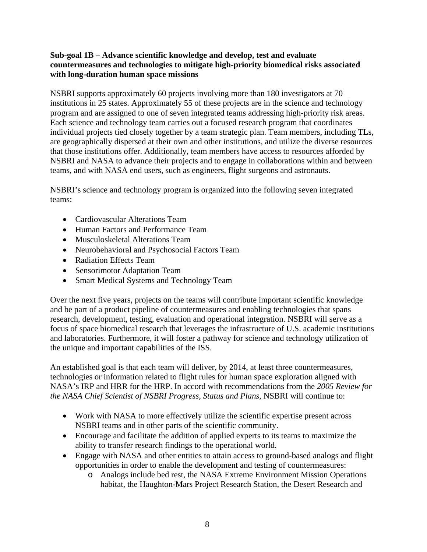#### **Sub-goal 1B – Advance scientific knowledge and develop, test and evaluate countermeasures and technologies to mitigate high-priority biomedical risks associated with long-duration human space missions**

NSBRI supports approximately 60 projects involving more than 180 investigators at 70 institutions in 25 states. Approximately 55 of these projects are in the science and technology program and are assigned to one of seven integrated teams addressing high-priority risk areas. Each science and technology team carries out a focused research program that coordinates individual projects tied closely together by a team strategic plan. Team members, including TLs, are geographically dispersed at their own and other institutions, and utilize the diverse resources that those institutions offer. Additionally, team members have access to resources afforded by NSBRI and NASA to advance their projects and to engage in collaborations within and between teams, and with NASA end users, such as engineers, flight surgeons and astronauts.

NSBRI's science and technology program is organized into the following seven integrated teams:

- Cardiovascular Alterations Team
- Human Factors and Performance Team
- Musculoskeletal Alterations Team
- Neurobehavioral and Psychosocial Factors Team
- Radiation Effects Team
- Sensorimotor Adaptation Team
- Smart Medical Systems and Technology Team

Over the next five years, projects on the teams will contribute important scientific knowledge and be part of a product pipeline of countermeasures and enabling technologies that spans research, development, testing, evaluation and operational integration. NSBRI will serve as a focus of space biomedical research that leverages the infrastructure of U.S. academic institutions and laboratories. Furthermore, it will foster a pathway for science and technology utilization of the unique and important capabilities of the ISS.

An established goal is that each team will deliver, by 2014, at least three countermeasures, technologies or information related to flight rules for human space exploration aligned with NASA's IRP and HRR for the HRP. In accord with recommendations from the *2005 Review for the NASA Chief Scientist of NSBRI Progress, Status and Plans*, NSBRI will continue to:

- Work with NASA to more effectively utilize the scientific expertise present across NSBRI teams and in other parts of the scientific community.
- Encourage and facilitate the addition of applied experts to its teams to maximize the ability to transfer research findings to the operational world.
- Engage with NASA and other entities to attain access to ground-based analogs and flight opportunities in order to enable the development and testing of countermeasures:
	- o Analogs include bed rest, the NASA Extreme Environment Mission Operations habitat, the Haughton-Mars Project Research Station, the Desert Research and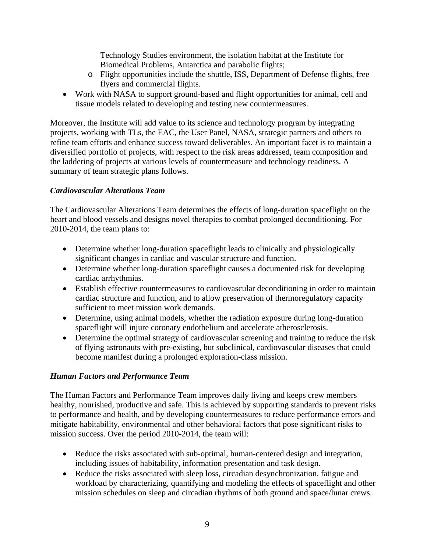Technology Studies environment, the isolation habitat at the Institute for Biomedical Problems, Antarctica and parabolic flights;

- o Flight opportunities include the shuttle, ISS, Department of Defense flights, free flyers and commercial flights.
- Work with NASA to support ground-based and flight opportunities for animal, cell and tissue models related to developing and testing new countermeasures.

Moreover, the Institute will add value to its science and technology program by integrating projects, working with TLs, the EAC, the User Panel, NASA, strategic partners and others to refine team efforts and enhance success toward deliverables. An important facet is to maintain a diversified portfolio of projects, with respect to the risk areas addressed, team composition and the laddering of projects at various levels of countermeasure and technology readiness. A summary of team strategic plans follows.

#### *Cardiovascular Alterations Team*

The Cardiovascular Alterations Team determines the effects of long-duration spaceflight on the heart and blood vessels and designs novel therapies to combat prolonged deconditioning. For 2010-2014, the team plans to:

- Determine whether long-duration spaceflight leads to clinically and physiologically significant changes in cardiac and vascular structure and function.
- Determine whether long-duration spaceflight causes a documented risk for developing cardiac arrhythmias.
- Establish effective countermeasures to cardiovascular deconditioning in order to maintain cardiac structure and function, and to allow preservation of thermoregulatory capacity sufficient to meet mission work demands.
- Determine, using animal models, whether the radiation exposure during long-duration spaceflight will injure coronary endothelium and accelerate atherosclerosis.
- Determine the optimal strategy of cardiovascular screening and training to reduce the risk of flying astronauts with pre-existing, but subclinical, cardiovascular diseases that could become manifest during a prolonged exploration-class mission.

#### *Human Factors and Performance Team*

The Human Factors and Performance Team improves daily living and keeps crew members healthy, nourished, productive and safe. This is achieved by supporting standards to prevent risks to performance and health, and by developing countermeasures to reduce performance errors and mitigate habitability, environmental and other behavioral factors that pose significant risks to mission success. Over the period 2010-2014, the team will:

- Reduce the risks associated with sub-optimal, human-centered design and integration, including issues of habitability, information presentation and task design.
- Reduce the risks associated with sleep loss, circadian desynchronization, fatigue and workload by characterizing, quantifying and modeling the effects of spaceflight and other mission schedules on sleep and circadian rhythms of both ground and space/lunar crews.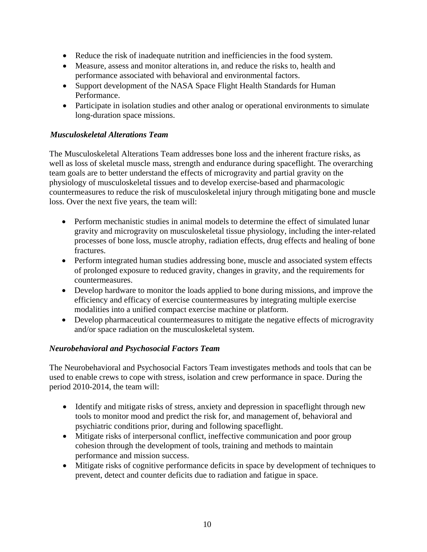- Reduce the risk of inadequate nutrition and inefficiencies in the food system.
- Measure, assess and monitor alterations in, and reduce the risks to, health and performance associated with behavioral and environmental factors.
- Support development of the NASA Space Flight Health Standards for Human Performance.
- Participate in isolation studies and other analog or operational environments to simulate long-duration space missions.

#### *Musculoskeletal Alterations Team*

The Musculoskeletal Alterations Team addresses bone loss and the inherent fracture risks, as well as loss of skeletal muscle mass, strength and endurance during spaceflight. The overarching team goals are to better understand the effects of microgravity and partial gravity on the physiology of musculoskeletal tissues and to develop exercise-based and pharmacologic countermeasures to reduce the risk of musculoskeletal injury through mitigating bone and muscle loss. Over the next five years, the team will:

- Perform mechanistic studies in animal models to determine the effect of simulated lunar gravity and microgravity on musculoskeletal tissue physiology, including the inter-related processes of bone loss, muscle atrophy, radiation effects, drug effects and healing of bone fractures.
- Perform integrated human studies addressing bone, muscle and associated system effects of prolonged exposure to reduced gravity, changes in gravity, and the requirements for countermeasures.
- Develop hardware to monitor the loads applied to bone during missions, and improve the efficiency and efficacy of exercise countermeasures by integrating multiple exercise modalities into a unified compact exercise machine or platform.
- Develop pharmaceutical countermeasures to mitigate the negative effects of microgravity and/or space radiation on the musculoskeletal system.

#### *Neurobehavioral and Psychosocial Factors Team*

The Neurobehavioral and Psychosocial Factors Team investigates methods and tools that can be used to enable crews to cope with stress, isolation and crew performance in space. During the period 2010-2014, the team will:

- Identify and mitigate risks of stress, anxiety and depression in spaceflight through new tools to monitor mood and predict the risk for, and management of, behavioral and psychiatric conditions prior, during and following spaceflight.
- Mitigate risks of interpersonal conflict, ineffective communication and poor group cohesion through the development of tools, training and methods to maintain performance and mission success.
- Mitigate risks of cognitive performance deficits in space by development of techniques to prevent, detect and counter deficits due to radiation and fatigue in space.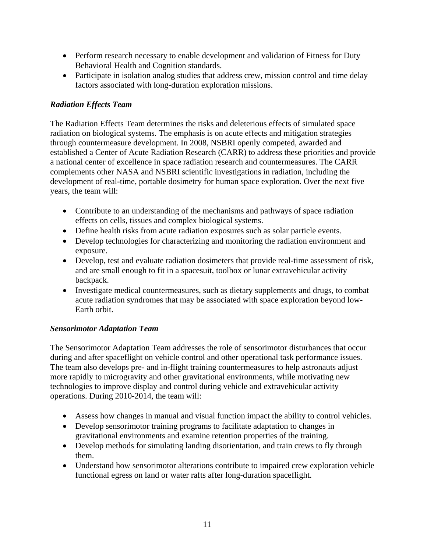- Perform research necessary to enable development and validation of Fitness for Duty Behavioral Health and Cognition standards.
- Participate in isolation analog studies that address crew, mission control and time delay factors associated with long-duration exploration missions.

#### *Radiation Effects Team*

The Radiation Effects Team determines the risks and deleterious effects of simulated space radiation on biological systems. The emphasis is on acute effects and mitigation strategies through countermeasure development. In 2008, NSBRI openly competed, awarded and established a Center of Acute Radiation Research (CARR) to address these priorities and provide a national center of excellence in space radiation research and countermeasures. The CARR complements other NASA and NSBRI scientific investigations in radiation, including the development of real-time, portable dosimetry for human space exploration. Over the next five years, the team will:

- Contribute to an understanding of the mechanisms and pathways of space radiation effects on cells, tissues and complex biological systems.
- Define health risks from acute radiation exposures such as solar particle events.
- Develop technologies for characterizing and monitoring the radiation environment and exposure.
- Develop, test and evaluate radiation dosimeters that provide real-time assessment of risk, and are small enough to fit in a spacesuit, toolbox or lunar extravehicular activity backpack.
- Investigate medical countermeasures, such as dietary supplements and drugs, to combat acute radiation syndromes that may be associated with space exploration beyond low-Earth orbit.

#### *Sensorimotor Adaptation Team*

The Sensorimotor Adaptation Team addresses the role of sensorimotor disturbances that occur during and after spaceflight on vehicle control and other operational task performance issues. The team also develops pre- and in-flight training countermeasures to help astronauts adjust more rapidly to microgravity and other gravitational environments, while motivating new technologies to improve display and control during vehicle and extravehicular activity operations. During 2010-2014, the team will:

- Assess how changes in manual and visual function impact the ability to control vehicles.
- Develop sensorimotor training programs to facilitate adaptation to changes in gravitational environments and examine retention properties of the training.
- Develop methods for simulating landing disorientation, and train crews to fly through them.
- Understand how sensorimotor alterations contribute to impaired crew exploration vehicle functional egress on land or water rafts after long-duration spaceflight.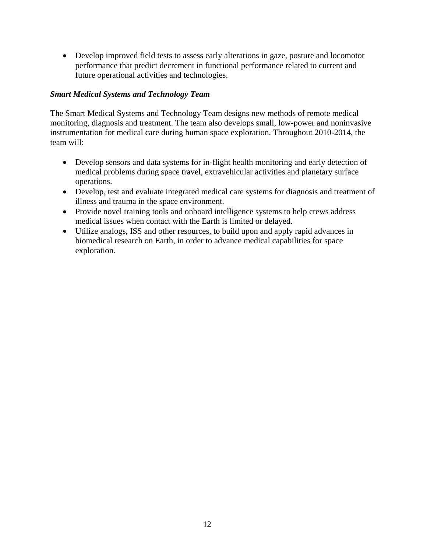• Develop improved field tests to assess early alterations in gaze, posture and locomotor performance that predict decrement in functional performance related to current and future operational activities and technologies.

#### *Smart Medical Systems and Technology Team*

The Smart Medical Systems and Technology Team designs new methods of remote medical monitoring, diagnosis and treatment. The team also develops small, low-power and noninvasive instrumentation for medical care during human space exploration. Throughout 2010-2014, the team will:

- Develop sensors and data systems for in-flight health monitoring and early detection of medical problems during space travel, extravehicular activities and planetary surface operations.
- Develop, test and evaluate integrated medical care systems for diagnosis and treatment of illness and trauma in the space environment.
- Provide novel training tools and onboard intelligence systems to help crews address medical issues when contact with the Earth is limited or delayed.
- Utilize analogs, ISS and other resources, to build upon and apply rapid advances in biomedical research on Earth, in order to advance medical capabilities for space exploration.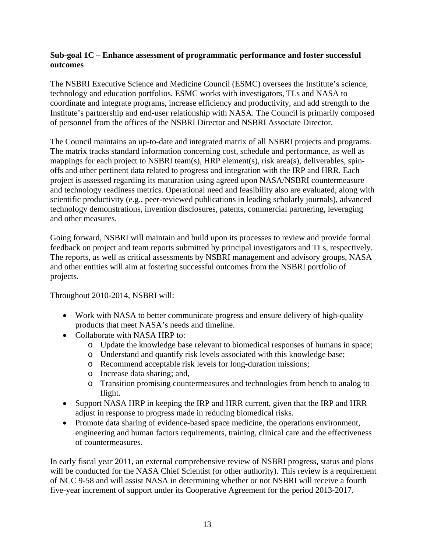#### **Sub-goal 1C – Enhance assessment of programmatic performance and foster successful outcomes**

The NSBRI Executive Science and Medicine Council (ESMC) oversees the Institute's science, technology and education portfolios. ESMC works with investigators, TLs and NASA to coordinate and integrate programs, increase efficiency and productivity, and add strength to the Institute's partnership and end-user relationship with NASA. The Council is primarily composed of personnel from the offices of the NSBRI Director and NSBRI Associate Director.

The Council maintains an up-to-date and integrated matrix of all NSBRI projects and programs. The matrix tracks standard information concerning cost, schedule and performance, as well as mappings for each project to NSBRI team(s), HRP element(s), risk area(s), deliverables, spinoffs and other pertinent data related to progress and integration with the IRP and HRR. Each project is assessed regarding its maturation using agreed upon NASA/NSBRI countermeasure and technology readiness metrics. Operational need and feasibility also are evaluated, along with scientific productivity (e.g., peer-reviewed publications in leading scholarly journals), advanced technology demonstrations, invention disclosures, patents, commercial partnering, leveraging and other measures.

Going forward, NSBRI will maintain and build upon its processes to review and provide formal feedback on project and team reports submitted by principal investigators and TLs, respectively. The reports, as well as critical assessments by NSBRI management and advisory groups, NASA and other entities will aim at fostering successful outcomes from the NSBRI portfolio of projects.

Throughout 2010-2014, NSBRI will:

- Work with NASA to better communicate progress and ensure delivery of high-quality products that meet NASA's needs and timeline.
- Collaborate with NASA HRP to:
	- o Update the knowledge base relevant to biomedical responses of humans in space;
	- o Understand and quantify risk levels associated with this knowledge base;
	- o Recommend acceptable risk levels for long-duration missions;
	- o Increase data sharing; and,
	- o Transition promising countermeasures and technologies from bench to analog to flight.
- Support NASA HRP in keeping the IRP and HRR current, given that the IRP and HRR adjust in response to progress made in reducing biomedical risks.
- Promote data sharing of evidence-based space medicine, the operations environment, engineering and human factors requirements, training, clinical care and the effectiveness of countermeasures.

In early fiscal year 2011, an external comprehensive review of NSBRI progress, status and plans will be conducted for the NASA Chief Scientist (or other authority). This review is a requirement of NCC 9-58 and will assist NASA in determining whether or not NSBRI will receive a fourth five-year increment of support under its Cooperative Agreement for the period 2013-2017.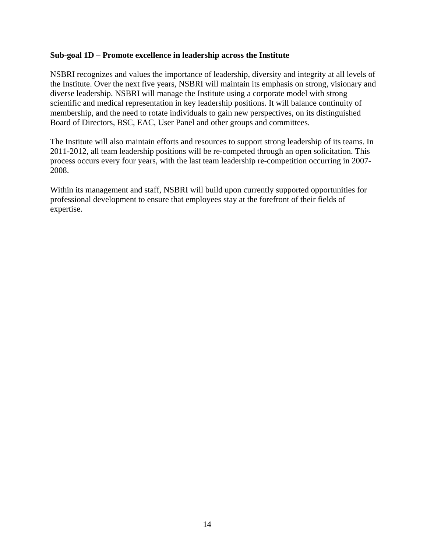#### **Sub-goal 1D – Promote excellence in leadership across the Institute**

NSBRI recognizes and values the importance of leadership, diversity and integrity at all levels of the Institute. Over the next five years, NSBRI will maintain its emphasis on strong, visionary and diverse leadership. NSBRI will manage the Institute using a corporate model with strong scientific and medical representation in key leadership positions. It will balance continuity of membership, and the need to rotate individuals to gain new perspectives, on its distinguished Board of Directors, BSC, EAC, User Panel and other groups and committees.

The Institute will also maintain efforts and resources to support strong leadership of its teams. In 2011-2012, all team leadership positions will be re-competed through an open solicitation. This process occurs every four years, with the last team leadership re-competition occurring in 2007- 2008.

Within its management and staff, NSBRI will build upon currently supported opportunities for professional development to ensure that employees stay at the forefront of their fields of expertise.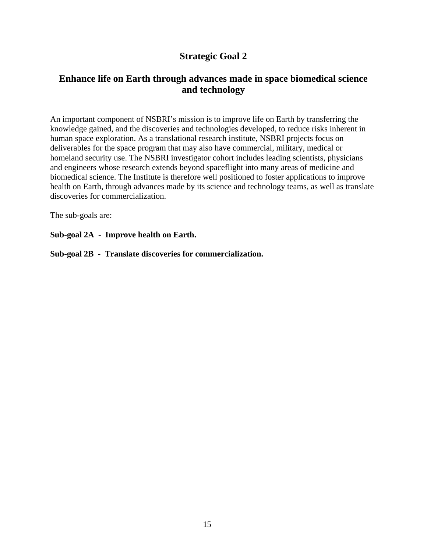## **Strategic Goal 2**

## **Enhance life on Earth through advances made in space biomedical science and technology**

An important component of NSBRI's mission is to improve life on Earth by transferring the knowledge gained, and the discoveries and technologies developed, to reduce risks inherent in human space exploration. As a translational research institute, NSBRI projects focus on deliverables for the space program that may also have commercial, military, medical or homeland security use. The NSBRI investigator cohort includes leading scientists, physicians and engineers whose research extends beyond spaceflight into many areas of medicine and biomedical science. The Institute is therefore well positioned to foster applications to improve health on Earth, through advances made by its science and technology teams, as well as translate discoveries for commercialization.

The sub-goals are:

**Sub-goal 2A - Improve health on Earth.** 

**Sub-goal 2B - Translate discoveries for commercialization.**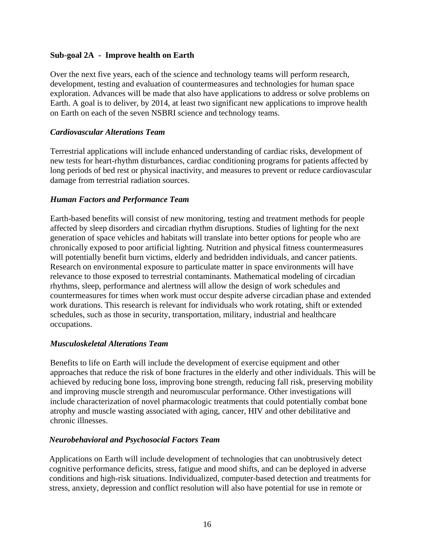#### **Sub-goal 2A - Improve health on Earth**

Over the next five years, each of the science and technology teams will perform research, development, testing and evaluation of countermeasures and technologies for human space exploration. Advances will be made that also have applications to address or solve problems on Earth. A goal is to deliver, by 2014, at least two significant new applications to improve health on Earth on each of the seven NSBRI science and technology teams.

#### *Cardiovascular Alterations Team*

Terrestrial applications will include enhanced understanding of cardiac risks, development of new tests for heart-rhythm disturbances, cardiac conditioning programs for patients affected by long periods of bed rest or physical inactivity, and measures to prevent or reduce cardiovascular damage from terrestrial radiation sources.

#### *Human Factors and Performance Team*

Earth-based benefits will consist of new monitoring, testing and treatment methods for people affected by sleep disorders and circadian rhythm disruptions. Studies of lighting for the next generation of space vehicles and habitats will translate into better options for people who are chronically exposed to poor artificial lighting. Nutrition and physical fitness countermeasures will potentially benefit burn victims, elderly and bedridden individuals, and cancer patients. Research on environmental exposure to particulate matter in space environments will have relevance to those exposed to terrestrial contaminants. Mathematical modeling of circadian rhythms, sleep, performance and alertness will allow the design of work schedules and countermeasures for times when work must occur despite adverse circadian phase and extended work durations. This research is relevant for individuals who work rotating, shift or extended schedules, such as those in security, transportation, military, industrial and healthcare occupations.

#### *Musculoskeletal Alterations Team*

Benefits to life on Earth will include the development of exercise equipment and other approaches that reduce the risk of bone fractures in the elderly and other individuals. This will be achieved by reducing bone loss, improving bone strength, reducing fall risk, preserving mobility and improving muscle strength and neuromuscular performance. Other investigations will include characterization of novel pharmacologic treatments that could potentially combat bone atrophy and muscle wasting associated with aging, cancer, HIV and other debilitative and chronic illnesses.

#### *Neurobehavioral and Psychosocial Factors Team*

Applications on Earth will include development of technologies that can unobtrusively detect cognitive performance deficits, stress, fatigue and mood shifts, and can be deployed in adverse conditions and high-risk situations. Individualized, computer-based detection and treatments for stress, anxiety, depression and conflict resolution will also have potential for use in remote or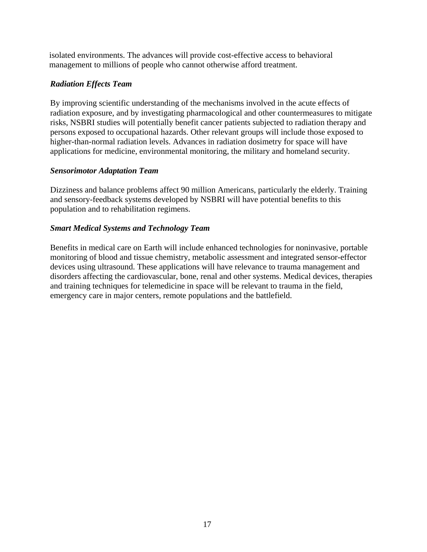isolated environments. The advances will provide cost-effective access to behavioral management to millions of people who cannot otherwise afford treatment.

#### *Radiation Effects Team*

By improving scientific understanding of the mechanisms involved in the acute effects of radiation exposure, and by investigating pharmacological and other countermeasures to mitigate risks, NSBRI studies will potentially benefit cancer patients subjected to radiation therapy and persons exposed to occupational hazards. Other relevant groups will include those exposed to higher-than-normal radiation levels. Advances in radiation dosimetry for space will have applications for medicine, environmental monitoring, the military and homeland security.

#### *Sensorimotor Adaptation Team*

Dizziness and balance problems affect 90 million Americans, particularly the elderly. Training and sensory-feedback systems developed by NSBRI will have potential benefits to this population and to rehabilitation regimens.

#### *Smart Medical Systems and Technology Team*

Benefits in medical care on Earth will include enhanced technologies for noninvasive, portable monitoring of blood and tissue chemistry, metabolic assessment and integrated sensor-effector devices using ultrasound. These applications will have relevance to trauma management and disorders affecting the cardiovascular, bone, renal and other systems. Medical devices, therapies and training techniques for telemedicine in space will be relevant to trauma in the field, emergency care in major centers, remote populations and the battlefield.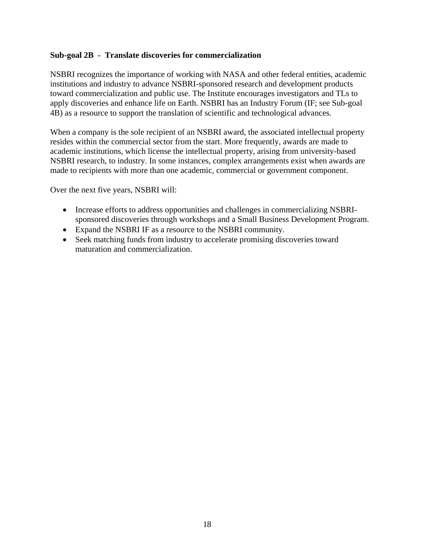#### **Sub-goal 2B - Translate discoveries for commercialization**

NSBRI recognizes the importance of working with NASA and other federal entities, academic institutions and industry to advance NSBRI-sponsored research and development products toward commercialization and public use. The Institute encourages investigators and TLs to apply discoveries and enhance life on Earth. NSBRI has an Industry Forum (IF; see Sub-goal 4B) as a resource to support the translation of scientific and technological advances.

When a company is the sole recipient of an NSBRI award, the associated intellectual property resides within the commercial sector from the start. More frequently, awards are made to academic institutions, which license the intellectual property, arising from university-based NSBRI research, to industry. In some instances, complex arrangements exist when awards are made to recipients with more than one academic, commercial or government component.

Over the next five years, NSBRI will:

- Increase efforts to address opportunities and challenges in commercializing NSBRIsponsored discoveries through workshops and a Small Business Development Program.
- Expand the NSBRI IF as a resource to the NSBRI community.
- Seek matching funds from industry to accelerate promising discoveries toward maturation and commercialization.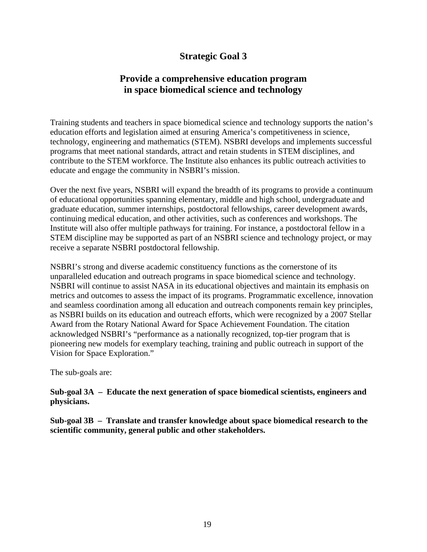## **Strategic Goal 3**

## **Provide a comprehensive education program in space biomedical science and technology**

Training students and teachers in space biomedical science and technology supports the nation's education efforts and legislation aimed at ensuring America's competitiveness in science, technology, engineering and mathematics (STEM). NSBRI develops and implements successful programs that meet national standards, attract and retain students in STEM disciplines, and contribute to the STEM workforce. The Institute also enhances its public outreach activities to educate and engage the community in NSBRI's mission.

Over the next five years, NSBRI will expand the breadth of its programs to provide a continuum of educational opportunities spanning elementary, middle and high school, undergraduate and graduate education, summer internships, postdoctoral fellowships, career development awards, continuing medical education, and other activities, such as conferences and workshops. The Institute will also offer multiple pathways for training. For instance, a postdoctoral fellow in a STEM discipline may be supported as part of an NSBRI science and technology project, or may receive a separate NSBRI postdoctoral fellowship.

NSBRI's strong and diverse academic constituency functions as the cornerstone of its unparalleled education and outreach programs in space biomedical science and technology. NSBRI will continue to assist NASA in its educational objectives and maintain its emphasis on metrics and outcomes to assess the impact of its programs. Programmatic excellence, innovation and seamless coordination among all education and outreach components remain key principles, as NSBRI builds on its education and outreach efforts, which were recognized by a 2007 Stellar Award from the Rotary National Award for Space Achievement Foundation. The citation acknowledged NSBRI's "performance as a nationally recognized, top-tier program that is pioneering new models for exemplary teaching, training and public outreach in support of the Vision for Space Exploration."

The sub-goals are:

**Sub-goal 3A – Educate the next generation of space biomedical scientists, engineers and physicians.**

**Sub-goal 3B – Translate and transfer knowledge about space biomedical research to the scientific community, general public and other stakeholders.**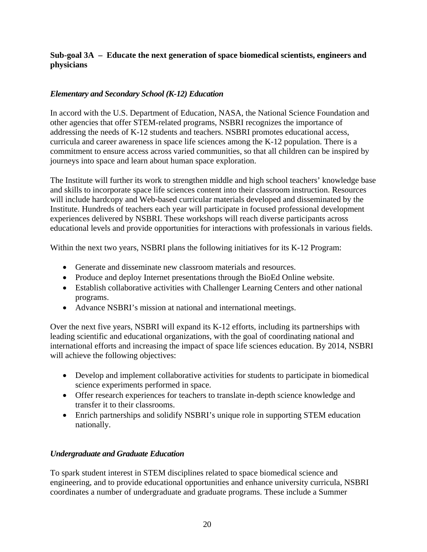#### **Sub-goal 3A – Educate the next generation of space biomedical scientists, engineers and physicians**

#### *Elementary and Secondary School (K-12) Education*

In accord with the U.S. Department of Education, NASA, the National Science Foundation and other agencies that offer STEM-related programs, NSBRI recognizes the importance of addressing the needs of K-12 students and teachers. NSBRI promotes educational access, curricula and career awareness in space life sciences among the K-12 population. There is a commitment to ensure access across varied communities, so that all children can be inspired by journeys into space and learn about human space exploration.

The Institute will further its work to strengthen middle and high school teachers' knowledge base and skills to incorporate space life sciences content into their classroom instruction. Resources will include hardcopy and Web-based curricular materials developed and disseminated by the Institute. Hundreds of teachers each year will participate in focused professional development experiences delivered by NSBRI. These workshops will reach diverse participants across educational levels and provide opportunities for interactions with professionals in various fields.

Within the next two years, NSBRI plans the following initiatives for its K-12 Program:

- Generate and disseminate new classroom materials and resources.
- Produce and deploy Internet presentations through the BioEd Online website.
- Establish collaborative activities with Challenger Learning Centers and other national programs.
- Advance NSBRI's mission at national and international meetings.

Over the next five years, NSBRI will expand its K-12 efforts, including its partnerships with leading scientific and educational organizations, with the goal of coordinating national and international efforts and increasing the impact of space life sciences education. By 2014, NSBRI will achieve the following objectives:

- Develop and implement collaborative activities for students to participate in biomedical science experiments performed in space.
- Offer research experiences for teachers to translate in-depth science knowledge and transfer it to their classrooms.
- Enrich partnerships and solidify NSBRI's unique role in supporting STEM education nationally.

#### *Undergraduate and Graduate Education*

To spark student interest in STEM disciplines related to space biomedical science and engineering, and to provide educational opportunities and enhance university curricula, NSBRI coordinates a number of undergraduate and graduate programs. These include a Summer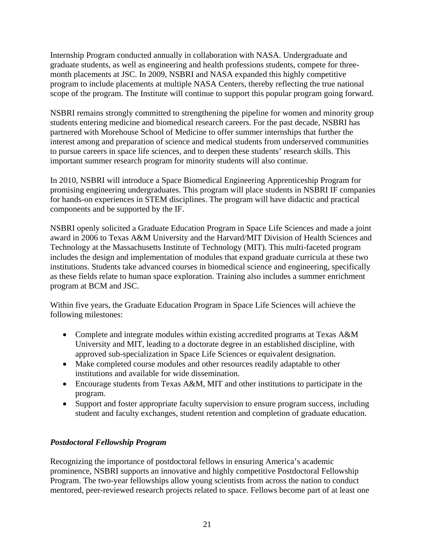Internship Program conducted annually in collaboration with NASA. Undergraduate and graduate students, as well as engineering and health professions students, compete for threemonth placements at JSC. In 2009, NSBRI and NASA expanded this highly competitive program to include placements at multiple NASA Centers, thereby reflecting the true national scope of the program. The Institute will continue to support this popular program going forward.

NSBRI remains strongly committed to strengthening the pipeline for women and minority group students entering medicine and biomedical research careers. For the past decade, NSBRI has partnered with Morehouse School of Medicine to offer summer internships that further the interest among and preparation of science and medical students from underserved communities to pursue careers in space life sciences, and to deepen these students' research skills. This important summer research program for minority students will also continue.

In 2010, NSBRI will introduce a Space Biomedical Engineering Apprenticeship Program for promising engineering undergraduates. This program will place students in NSBRI IF companies for hands-on experiences in STEM disciplines. The program will have didactic and practical components and be supported by the IF.

NSBRI openly solicited a Graduate Education Program in Space Life Sciences and made a joint award in 2006 to Texas A&M University and the Harvard/MIT Division of Health Sciences and Technology at the Massachusetts Institute of Technology (MIT). This multi-faceted program includes the design and implementation of modules that expand graduate curricula at these two institutions. Students take advanced courses in biomedical science and engineering, specifically as these fields relate to human space exploration. Training also includes a summer enrichment program at BCM and JSC.

Within five years, the Graduate Education Program in Space Life Sciences will achieve the following milestones:

- Complete and integrate modules within existing accredited programs at Texas A&M University and MIT, leading to a doctorate degree in an established discipline, with approved sub-specialization in Space Life Sciences or equivalent designation.
- Make completed course modules and other resources readily adaptable to other institutions and available for wide dissemination.
- Encourage students from Texas A&M, MIT and other institutions to participate in the program.
- Support and foster appropriate faculty supervision to ensure program success, including student and faculty exchanges, student retention and completion of graduate education.

#### *Postdoctoral Fellowship Program*

Recognizing the importance of postdoctoral fellows in ensuring America's academic prominence, NSBRI supports an innovative and highly competitive Postdoctoral Fellowship Program. The two-year fellowships allow young scientists from across the nation to conduct mentored, peer-reviewed research projects related to space. Fellows become part of at least one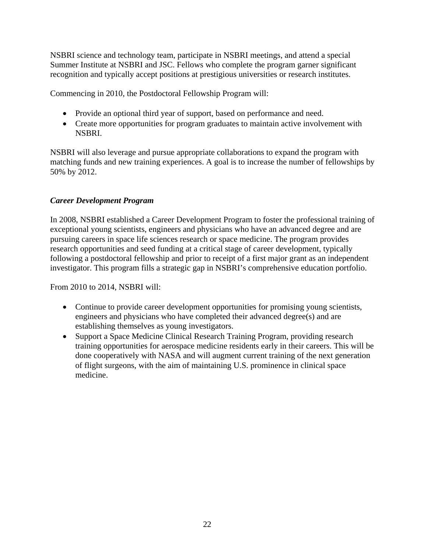NSBRI science and technology team, participate in NSBRI meetings, and attend a special Summer Institute at NSBRI and JSC. Fellows who complete the program garner significant recognition and typically accept positions at prestigious universities or research institutes.

Commencing in 2010, the Postdoctoral Fellowship Program will:

- Provide an optional third year of support, based on performance and need.
- Create more opportunities for program graduates to maintain active involvement with NSBRI.

NSBRI will also leverage and pursue appropriate collaborations to expand the program with matching funds and new training experiences. A goal is to increase the number of fellowships by 50% by 2012.

#### *Career Development Program*

In 2008, NSBRI established a Career Development Program to foster the professional training of exceptional young scientists, engineers and physicians who have an advanced degree and are pursuing careers in space life sciences research or space medicine. The program provides research opportunities and seed funding at a critical stage of career development, typically following a postdoctoral fellowship and prior to receipt of a first major grant as an independent investigator. This program fills a strategic gap in NSBRI's comprehensive education portfolio.

From 2010 to 2014, NSBRI will:

- Continue to provide career development opportunities for promising young scientists, engineers and physicians who have completed their advanced degree(s) and are establishing themselves as young investigators.
- Support a Space Medicine Clinical Research Training Program, providing research training opportunities for aerospace medicine residents early in their careers. This will be done cooperatively with NASA and will augment current training of the next generation of flight surgeons, with the aim of maintaining U.S. prominence in clinical space medicine.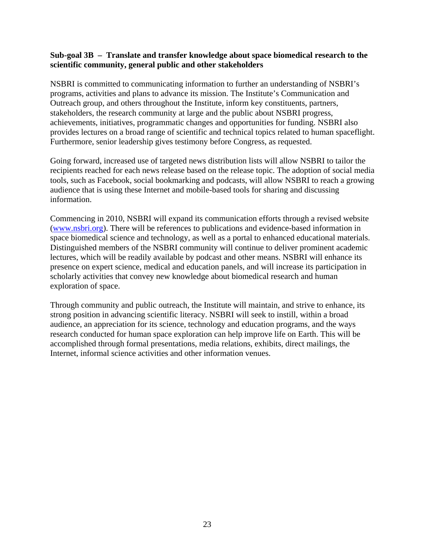#### **Sub-goal 3B – Translate and transfer knowledge about space biomedical research to the scientific community, general public and other stakeholders**

NSBRI is committed to communicating information to further an understanding of NSBRI's programs, activities and plans to advance its mission. The Institute's Communication and Outreach group, and others throughout the Institute, inform key constituents, partners, stakeholders, the research community at large and the public about NSBRI progress, achievements, initiatives, programmatic changes and opportunities for funding. NSBRI also provides lectures on a broad range of scientific and technical topics related to human spaceflight. Furthermore, senior leadership gives testimony before Congress, as requested.

Going forward, increased use of targeted news distribution lists will allow NSBRI to tailor the recipients reached for each news release based on the release topic. The adoption of social media tools, such as Facebook, social bookmarking and podcasts, will allow NSBRI to reach a growing audience that is using these Internet and mobile-based tools for sharing and discussing information.

Commencing in 2010, NSBRI will expand its communication efforts through a revised website ([www.nsbri.org](http://www.nsbri.org/)). There will be references to publications and evidence-based information in space biomedical science and technology, as well as a portal to enhanced educational materials. Distinguished members of the NSBRI community will continue to deliver prominent academic lectures, which will be readily available by podcast and other means. NSBRI will enhance its presence on expert science, medical and education panels, and will increase its participation in scholarly activities that convey new knowledge about biomedical research and human exploration of space.

Through community and public outreach, the Institute will maintain, and strive to enhance, its strong position in advancing scientific literacy. NSBRI will seek to instill, within a broad audience, an appreciation for its science, technology and education programs, and the ways research conducted for human space exploration can help improve life on Earth. This will be accomplished through formal presentations, media relations, exhibits, direct mailings, the Internet, informal science activities and other information venues.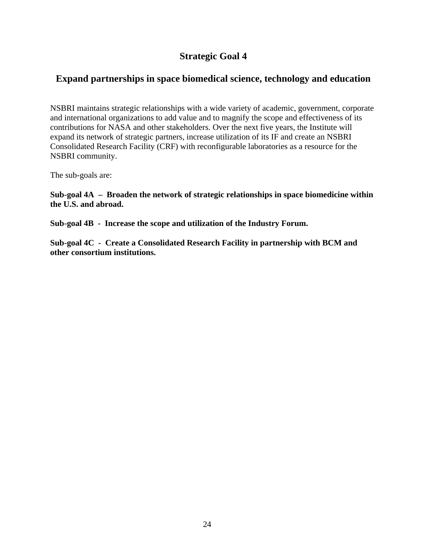## **Strategic Goal 4**

## **Expand partnerships in space biomedical science, technology and education**

NSBRI maintains strategic relationships with a wide variety of academic, government, corporate and international organizations to add value and to magnify the scope and effectiveness of its contributions for NASA and other stakeholders. Over the next five years, the Institute will expand its network of strategic partners, increase utilization of its IF and create an NSBRI Consolidated Research Facility (CRF) with reconfigurable laboratories as a resource for the NSBRI community.

The sub-goals are:

**Sub-goal 4A – Broaden the network of strategic relationships in space biomedicine within the U.S. and abroad.**

**Sub-goal 4B - Increase the scope and utilization of the Industry Forum.**

**Sub-goal 4C - Create a Consolidated Research Facility in partnership with BCM and other consortium institutions.**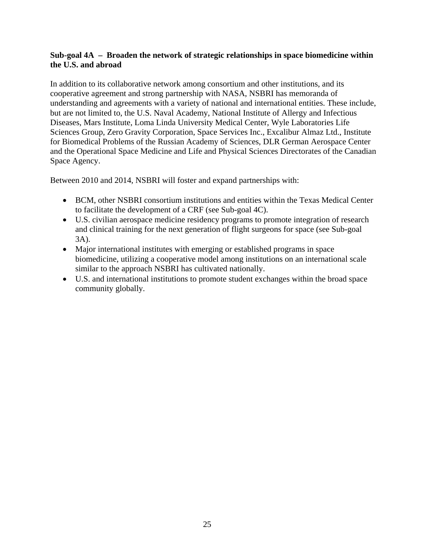#### **Sub-goal 4A – Broaden the network of strategic relationships in space biomedicine within the U.S. and abroad**

In addition to its collaborative network among consortium and other institutions, and its cooperative agreement and strong partnership with NASA, NSBRI has memoranda of understanding and agreements with a variety of national and international entities. These include, but are not limited to, the U.S. Naval Academy, National Institute of Allergy and Infectious Diseases, Mars Institute, Loma Linda University Medical Center, Wyle Laboratories Life Sciences Group, Zero Gravity Corporation, Space Services Inc., Excalibur Almaz Ltd., Institute for Biomedical Problems of the Russian Academy of Sciences, DLR German Aerospace Center and the Operational Space Medicine and Life and Physical Sciences Directorates of the Canadian Space Agency.

Between 2010 and 2014, NSBRI will foster and expand partnerships with:

- BCM, other NSBRI consortium institutions and entities within the Texas Medical Center to facilitate the development of a CRF (see Sub-goal 4C).
- U.S. civilian aerospace medicine residency programs to promote integration of research and clinical training for the next generation of flight surgeons for space (see Sub-goal 3A).
- Major international institutes with emerging or established programs in space biomedicine, utilizing a cooperative model among institutions on an international scale similar to the approach NSBRI has cultivated nationally.
- U.S. and international institutions to promote student exchanges within the broad space community globally.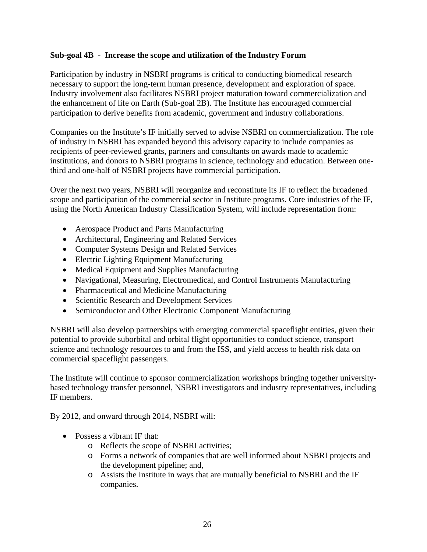#### **Sub-goal 4B - Increase the scope and utilization of the Industry Forum**

Participation by industry in NSBRI programs is critical to conducting biomedical research necessary to support the long-term human presence, development and exploration of space. Industry involvement also facilitates NSBRI project maturation toward commercialization and the enhancement of life on Earth (Sub-goal 2B). The Institute has encouraged commercial participation to derive benefits from academic, government and industry collaborations.

Companies on the Institute's IF initially served to advise NSBRI on commercialization. The role of industry in NSBRI has expanded beyond this advisory capacity to include companies as recipients of peer-reviewed grants, partners and consultants on awards made to academic institutions, and donors to NSBRI programs in science, technology and education. Between onethird and one-half of NSBRI projects have commercial participation.

Over the next two years, NSBRI will reorganize and reconstitute its IF to reflect the broadened scope and participation of the commercial sector in Institute programs. Core industries of the IF, using the North American Industry Classification System, will include representation from:

- Aerospace Product and Parts Manufacturing
- Architectural, Engineering and Related Services
- Computer Systems Design and Related Services
- Electric Lighting Equipment Manufacturing
- Medical Equipment and Supplies Manufacturing
- Navigational, Measuring, Electromedical, and Control Instruments Manufacturing
- Pharmaceutical and Medicine Manufacturing
- Scientific Research and Development Services
- Semiconductor and Other Electronic Component Manufacturing

NSBRI will also develop partnerships with emerging commercial spaceflight entities, given their potential to provide suborbital and orbital flight opportunities to conduct science, transport science and technology resources to and from the ISS, and yield access to health risk data on commercial spaceflight passengers.

The Institute will continue to sponsor commercialization workshops bringing together universitybased technology transfer personnel, NSBRI investigators and industry representatives, including IF members.

By 2012, and onward through 2014, NSBRI will:

- Possess a vibrant IF that:
	- o Reflects the scope of NSBRI activities;
	- o Forms a network of companies that are well informed about NSBRI projects and the development pipeline; and,
	- o Assists the Institute in ways that are mutually beneficial to NSBRI and the IF companies.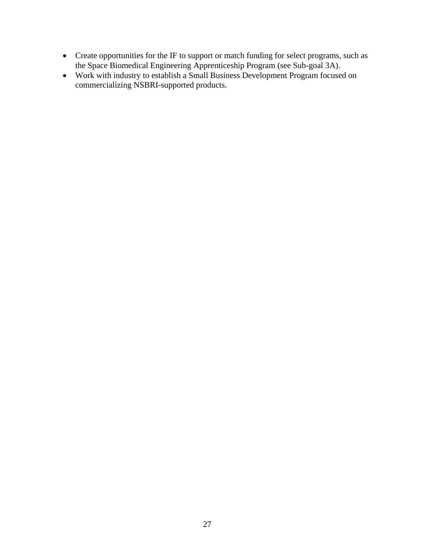- Create opportunities for the IF to support or match funding for select programs, such as the Space Biomedical Engineering Apprenticeship Program (see Sub-goal 3A).
- Work with industry to establish a Small Business Development Program focused on commercializing NSBRI-supported products.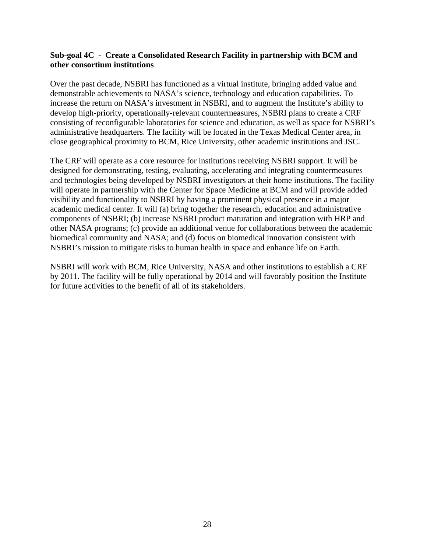#### **Sub-goal 4C - Create a Consolidated Research Facility in partnership with BCM and other consortium institutions**

Over the past decade, NSBRI has functioned as a virtual institute, bringing added value and demonstrable achievements to NASA's science, technology and education capabilities. To increase the return on NASA's investment in NSBRI, and to augment the Institute's ability to develop high-priority, operationally-relevant countermeasures, NSBRI plans to create a CRF consisting of reconfigurable laboratories for science and education, as well as space for NSBRI's administrative headquarters. The facility will be located in the Texas Medical Center area, in close geographical proximity to BCM, Rice University, other academic institutions and JSC.

The CRF will operate as a core resource for institutions receiving NSBRI support. It will be designed for demonstrating, testing, evaluating, accelerating and integrating countermeasures and technologies being developed by NSBRI investigators at their home institutions. The facility will operate in partnership with the Center for Space Medicine at BCM and will provide added visibility and functionality to NSBRI by having a prominent physical presence in a major academic medical center. It will (a) bring together the research, education and administrative components of NSBRI; (b) increase NSBRI product maturation and integration with HRP and other NASA programs; (c) provide an additional venue for collaborations between the academic biomedical community and NASA; and (d) focus on biomedical innovation consistent with NSBRI's mission to mitigate risks to human health in space and enhance life on Earth.

NSBRI will work with BCM, Rice University, NASA and other institutions to establish a CRF by 2011. The facility will be fully operational by 2014 and will favorably position the Institute for future activities to the benefit of all of its stakeholders.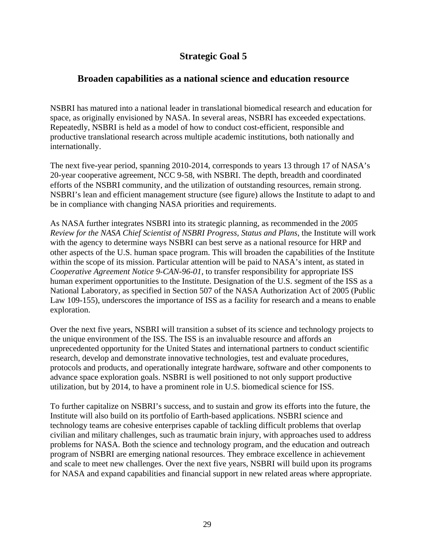## **Strategic Goal 5**

### **Broaden capabilities as a national science and education resource**

NSBRI has matured into a national leader in translational biomedical research and education for space, as originally envisioned by NASA. In several areas, NSBRI has exceeded expectations. Repeatedly, NSBRI is held as a model of how to conduct cost-efficient, responsible and productive translational research across multiple academic institutions, both nationally and internationally.

The next five-year period, spanning 2010-2014, corresponds to years 13 through 17 of NASA's 20-year cooperative agreement, NCC 9-58, with NSBRI. The depth, breadth and coordinated efforts of the NSBRI community, and the utilization of outstanding resources, remain strong. NSBRI's lean and efficient management structure (see figure) allows the Institute to adapt to and be in compliance with changing NASA priorities and requirements.

As NASA further integrates NSBRI into its strategic planning, as recommended in the *2005 Review for the NASA Chief Scientist of NSBRI Progress, Status and Plans*, the Institute will work with the agency to determine ways NSBRI can best serve as a national resource for HRP and other aspects of the U.S. human space program. This will broaden the capabilities of the Institute within the scope of its mission. Particular attention will be paid to NASA's intent, as stated in *Cooperative Agreement Notice 9-CAN-96-01*, to transfer responsibility for appropriate ISS human experiment opportunities to the Institute. Designation of the U.S. segment of the ISS as a National Laboratory, as specified in Section 507 of the NASA Authorization Act of 2005 (Public Law 109-155), underscores the importance of ISS as a facility for research and a means to enable exploration.

Over the next five years, NSBRI will transition a subset of its science and technology projects to the unique environment of the ISS. The ISS is an invaluable resource and affords an unprecedented opportunity for the United States and international partners to conduct scientific research, develop and demonstrate innovative technologies, test and evaluate procedures, protocols and products, and operationally integrate hardware, software and other components to advance space exploration goals. NSBRI is well positioned to not only support productive utilization, but by 2014, to have a prominent role in U.S. biomedical science for ISS.

To further capitalize on NSBRI's success, and to sustain and grow its efforts into the future, the Institute will also build on its portfolio of Earth-based applications. NSBRI science and technology teams are cohesive enterprises capable of tackling difficult problems that overlap civilian and military challenges, such as traumatic brain injury, with approaches used to address problems for NASA. Both the science and technology program, and the education and outreach program of NSBRI are emerging national resources. They embrace excellence in achievement and scale to meet new challenges. Over the next five years, NSBRI will build upon its programs for NASA and expand capabilities and financial support in new related areas where appropriate.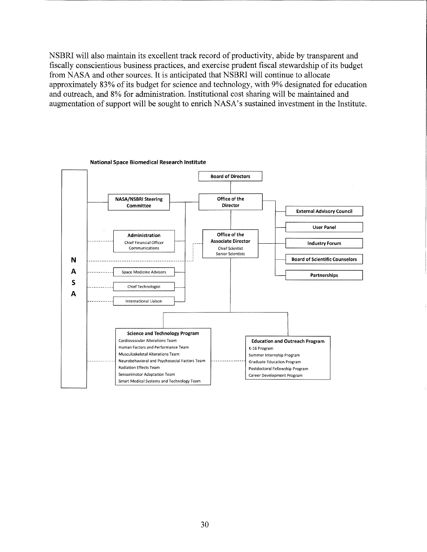NSBRI will also maintain its excellent track record of productivity, abide by transparent and fiscally conscientious business practices, and exercise prudent fiscal stewardship of its budget from NASA and other sources. It is anticipated that NSBRI will continue to allocate approximately 83% of its budget for science and technology, with 9% designated for education and outreach, and 8% for administration. Institutional cost sharing will be maintained and augmentation of support will be sought to enrich NASA's sustained investment in the Institute.



#### **National Space Biomedical Research Institute**